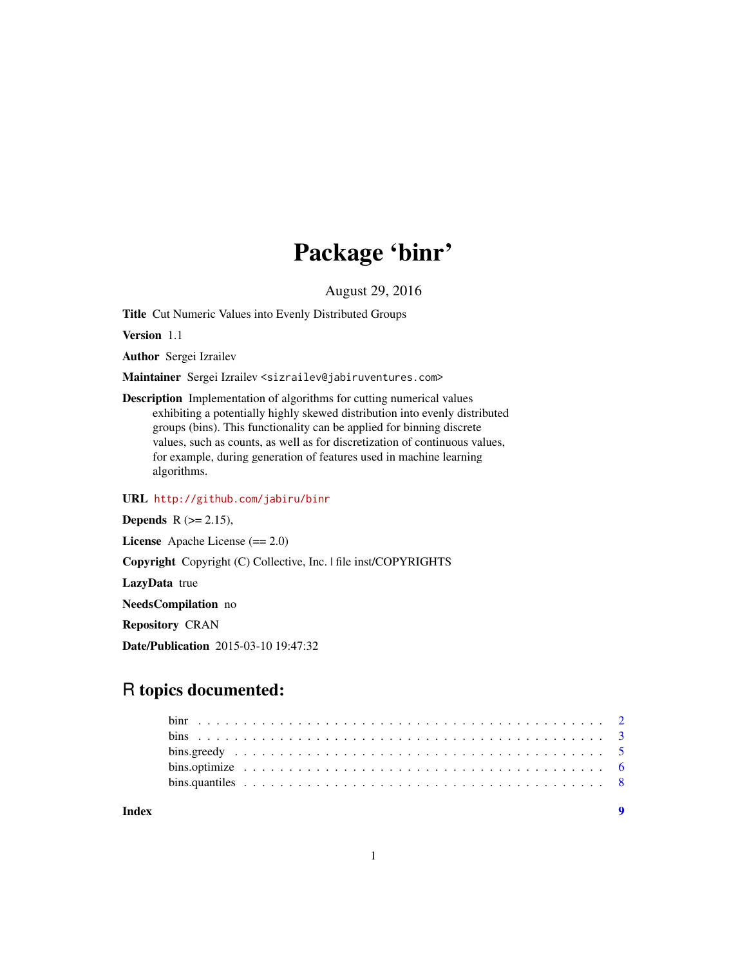## Package 'binr'

August 29, 2016

Title Cut Numeric Values into Evenly Distributed Groups

Version 1.1

Author Sergei Izrailev

Maintainer Sergei Izrailev <sizrailev@jabiruventures.com>

Description Implementation of algorithms for cutting numerical values exhibiting a potentially highly skewed distribution into evenly distributed groups (bins). This functionality can be applied for binning discrete values, such as counts, as well as for discretization of continuous values, for example, during generation of features used in machine learning algorithms.

#### URL <http://github.com/jabiru/binr>

**Depends**  $R$  ( $>= 2.15$ ),

License Apache License (== 2.0)

Copyright Copyright (C) Collective, Inc. | file inst/COPYRIGHTS

LazyData true

NeedsCompilation no

Repository CRAN

Date/Publication 2015-03-10 19:47:32

## R topics documented:

| Index |  |  |  |  |  |  |  |  |  |  |  |  |  |  |  |  |  |  |  |  |
|-------|--|--|--|--|--|--|--|--|--|--|--|--|--|--|--|--|--|--|--|--|

1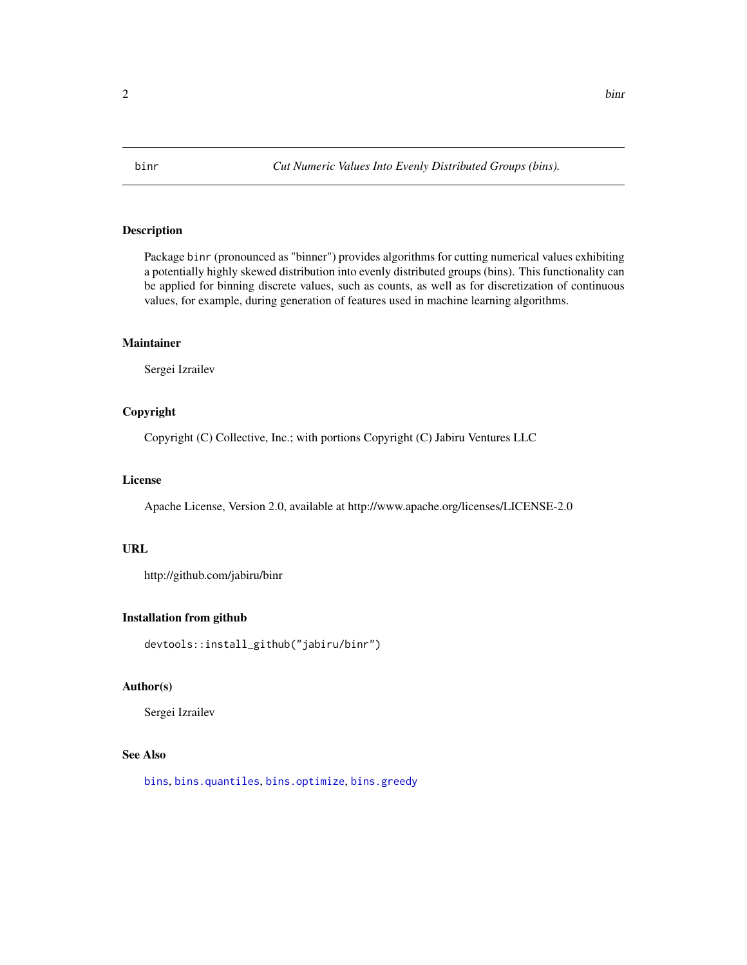#### <span id="page-1-1"></span><span id="page-1-0"></span>Description

Package binr (pronounced as "binner") provides algorithms for cutting numerical values exhibiting a potentially highly skewed distribution into evenly distributed groups (bins). This functionality can be applied for binning discrete values, such as counts, as well as for discretization of continuous values, for example, during generation of features used in machine learning algorithms.

#### Maintainer

Sergei Izrailev

#### Copyright

Copyright (C) Collective, Inc.; with portions Copyright (C) Jabiru Ventures LLC

#### License

Apache License, Version 2.0, available at http://www.apache.org/licenses/LICENSE-2.0

#### URL

http://github.com/jabiru/binr

#### Installation from github

devtools::install\_github("jabiru/binr")

#### Author(s)

Sergei Izrailev

#### See Also

[bins](#page-2-1), [bins.quantiles](#page-7-1), [bins.optimize](#page-5-1), [bins.greedy](#page-4-1)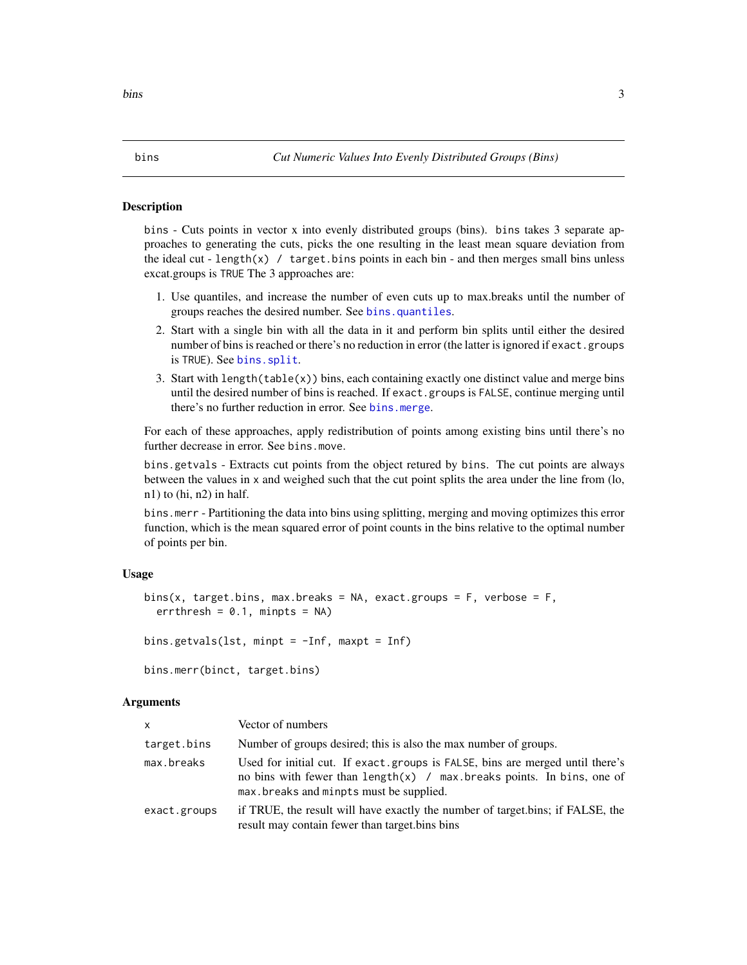#### <span id="page-2-1"></span><span id="page-2-0"></span>Description

bins - Cuts points in vector x into evenly distributed groups (bins). bins takes 3 separate approaches to generating the cuts, picks the one resulting in the least mean square deviation from the ideal cut - length(x) / target.bins points in each bin - and then merges small bins unless excat.groups is TRUE The 3 approaches are:

- 1. Use quantiles, and increase the number of even cuts up to max.breaks until the number of groups reaches the desired number. See [bins.quantiles](#page-7-1).
- 2. Start with a single bin with all the data in it and perform bin splits until either the desired number of bins is reached or there's no reduction in error (the latter is ignored if exact.groups is TRUE). See [bins.split](#page-5-2).
- 3. Start with length(table(x)) bins, each containing exactly one distinct value and merge bins until the desired number of bins is reached. If exact.groups is FALSE, continue merging until there's no further reduction in error. See [bins.merge](#page-5-2).

For each of these approaches, apply redistribution of points among existing bins until there's no further decrease in error. See bins.move.

bins.getvals - Extracts cut points from the object retured by bins. The cut points are always between the values in x and weighed such that the cut point splits the area under the line from (lo, n1) to (hi, n2) in half.

bins.merr - Partitioning the data into bins using splitting, merging and moving optimizes this error function, which is the mean squared error of point counts in the bins relative to the optimal number of points per bin.

#### Usage

```
bins(x, target.bins, max.breaks = NA, exact.groups = F, verbose = F,
 errthresh = 0.1, minpts = NA)
bins.getvals(lst, minpt = -Inf, maxpt = Inf)
```

```
bins.merr(binct, target.bins)
```
#### Arguments

| $\mathsf{x}$ | Vector of numbers                                                                                                                                                                                    |
|--------------|------------------------------------------------------------------------------------------------------------------------------------------------------------------------------------------------------|
| target.bins  | Number of groups desired; this is also the max number of groups.                                                                                                                                     |
| max.breaks   | Used for initial cut. If exact groups is FALSE, bins are merged until there's<br>no bins with fewer than $length(x)$ / max breaks points. In bins, one of<br>max breaks and minpts must be supplied. |
| exact.groups | if TRUE, the result will have exactly the number of target bins; if FALSE, the<br>result may contain fewer than target bins bins                                                                     |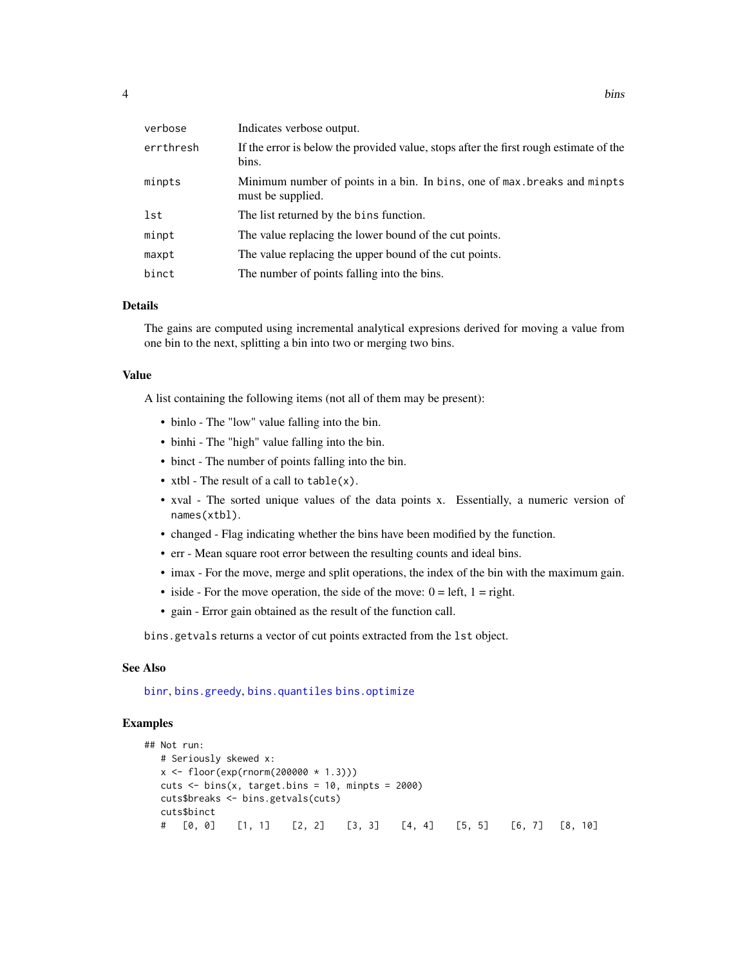<span id="page-3-0"></span>

| verbose   | Indicates verbose output.                                                                      |
|-----------|------------------------------------------------------------------------------------------------|
| errthresh | If the error is below the provided value, stops after the first rough estimate of the<br>bins. |
| minpts    | Minimum number of points in a bin. In bins, one of max breaks and minpts<br>must be supplied.  |
| lst       | The list returned by the bins function.                                                        |
| minpt     | The value replacing the lower bound of the cut points.                                         |
| maxpt     | The value replacing the upper bound of the cut points.                                         |
| binct     | The number of points falling into the bins.                                                    |

#### Details

The gains are computed using incremental analytical expresions derived for moving a value from one bin to the next, splitting a bin into two or merging two bins.

#### Value

A list containing the following items (not all of them may be present):

- binlo The "low" value falling into the bin.
- binhi The "high" value falling into the bin.
- binct The number of points falling into the bin.
- xtbl The result of a call to table(x).
- xval The sorted unique values of the data points x. Essentially, a numeric version of names(xtbl).
- changed Flag indicating whether the bins have been modified by the function.
- err Mean square root error between the resulting counts and ideal bins.
- imax For the move, merge and split operations, the index of the bin with the maximum gain.
- iside For the move operation, the side of the move:  $0 = left$ ,  $1 = right$ .
- gain Error gain obtained as the result of the function call.

bins.getvals returns a vector of cut points extracted from the lst object.

#### See Also

[binr](#page-1-1), [bins.greedy](#page-4-1), [bins.quantiles](#page-7-1) [bins.optimize](#page-5-1)

#### Examples

```
## Not run:
  # Seriously skewed x:
  x \leq floor(exp(rnorm(200000 * 1.3)))
  cuts \le bins(x, target.bins = 10, minpts = 2000)
  cuts$breaks <- bins.getvals(cuts)
  cuts$binct
  # [0, 0] [1, 1] [2, 2] [3, 3] [4, 4] [5, 5] [6, 7] [8, 10]
```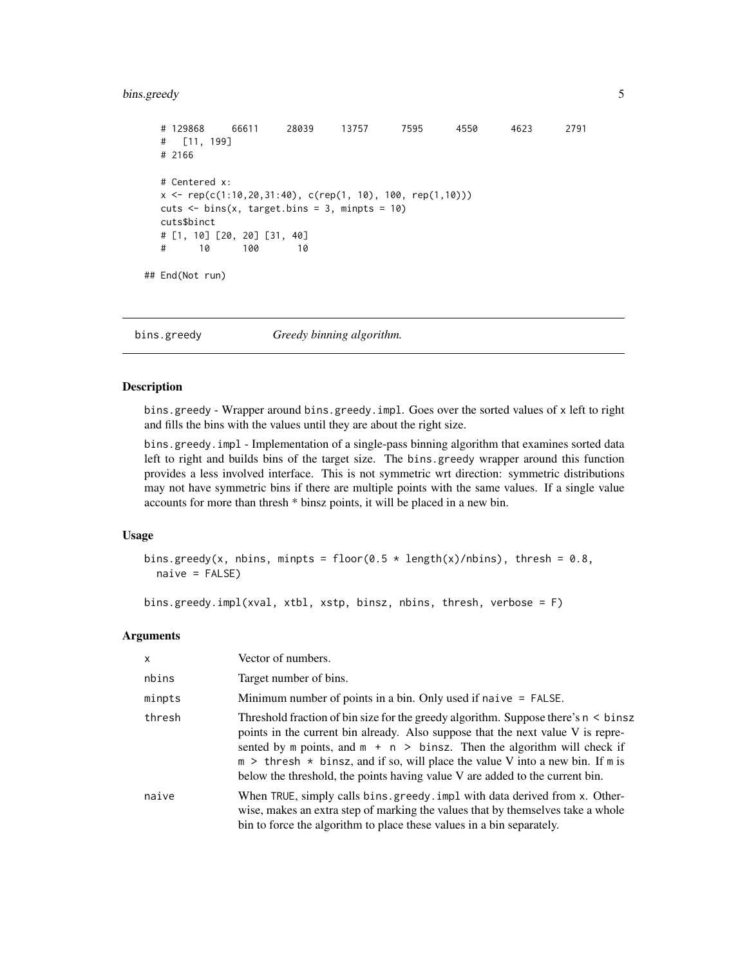#### <span id="page-4-0"></span>bins.greedy 5

```
# 129868 66611 28039 13757 7595 4550 4623 2791
  # [11, 199]
  # 2166
  # Centered x:
  x \leq rep(c(1:10, 20, 31:40), c(rep(1, 10), 100, rep(1, 10)))cuts \le bins(x, target.bins = 3, minpts = 10)
  cuts$binct
  # [1, 10] [20, 20] [31, 40]
  # 10 100 10
## End(Not run)
```
<span id="page-4-1"></span>bins.greedy *Greedy binning algorithm.*

#### Description

bins.greedy - Wrapper around bins.greedy.impl. Goes over the sorted values of x left to right and fills the bins with the values until they are about the right size.

bins.greedy.impl - Implementation of a single-pass binning algorithm that examines sorted data left to right and builds bins of the target size. The bins.greedy wrapper around this function provides a less involved interface. This is not symmetric wrt direction: symmetric distributions may not have symmetric bins if there are multiple points with the same values. If a single value accounts for more than thresh \* binsz points, it will be placed in a new bin.

#### Usage

```
bins.greedy(x, nbins, minpts = floor(0.5 \times length(x)/nbins), thresh = 0.8,
  naive = FALSE)
```
bins.greedy.impl(xval, xtbl, xstp, binsz, nbins, thresh, verbose = F)

#### Arguments

| $\mathsf{x}$ | Vector of numbers.                                                                                                                                                                                                                                                                                                                                                                                                            |
|--------------|-------------------------------------------------------------------------------------------------------------------------------------------------------------------------------------------------------------------------------------------------------------------------------------------------------------------------------------------------------------------------------------------------------------------------------|
| nbins        | Target number of bins.                                                                                                                                                                                                                                                                                                                                                                                                        |
| minpts       | Minimum number of points in a bin. Only used if naive $=$ FALSE.                                                                                                                                                                                                                                                                                                                                                              |
| thresh       | Threshold fraction of bin size for the greedy algorithm. Suppose there's $n \leq b$ insz<br>points in the current bin already. Also suppose that the next value V is repre-<br>sented by m points, and $m + n$ > binsz. Then the algorithm will check if<br>$m >$ thresh $*$ binsz, and if so, will place the value V into a new bin. If m is<br>below the threshold, the points having value V are added to the current bin. |
| naive        | When TRUE, simply calls bins.greedy.impl with data derived from x. Other-<br>wise, makes an extra step of marking the values that by themselves take a whole<br>bin to force the algorithm to place these values in a bin separately.                                                                                                                                                                                         |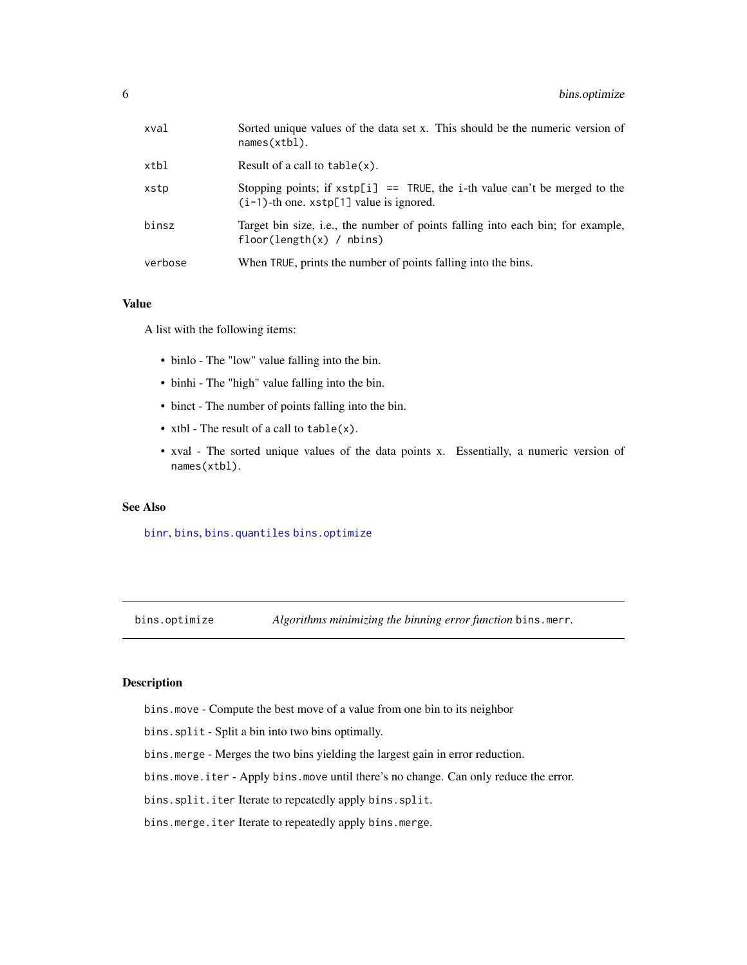<span id="page-5-0"></span>

| xval    | Sorted unique values of the data set x. This should be the numeric version of<br>names(xtb1).                                 |
|---------|-------------------------------------------------------------------------------------------------------------------------------|
| xtbl    | Result of a call to $table(x)$ .                                                                                              |
| xstp    | Stopping points; if $xstp[i] == TRUE$ , the i-th value can't be merged to the<br>$(i-1)$ -th one. $xstp[1]$ value is ignored. |
| binsz   | Target bin size, i.e., the number of points falling into each bin; for example,<br>$floor(length(x) / \text{nbins})$          |
| verbose | When TRUE, prints the number of points falling into the bins.                                                                 |

#### Value

A list with the following items:

- binlo The "low" value falling into the bin.
- binhi The "high" value falling into the bin.
- binct The number of points falling into the bin.
- xtbl The result of a call to table(x).
- xval The sorted unique values of the data points x. Essentially, a numeric version of names(xtbl).

#### See Also

[binr](#page-1-1), [bins](#page-2-1), [bins.quantiles](#page-7-1) [bins.optimize](#page-5-1)

<span id="page-5-1"></span>bins.optimize *Algorithms minimizing the binning error function* bins.merr*.*

#### <span id="page-5-2"></span>Description

bins.move - Compute the best move of a value from one bin to its neighbor

bins.split - Split a bin into two bins optimally.

bins.merge - Merges the two bins yielding the largest gain in error reduction.

bins.move.iter - Apply bins.move until there's no change. Can only reduce the error.

bins.split.iter Iterate to repeatedly apply bins.split.

bins.merge.iter Iterate to repeatedly apply bins.merge.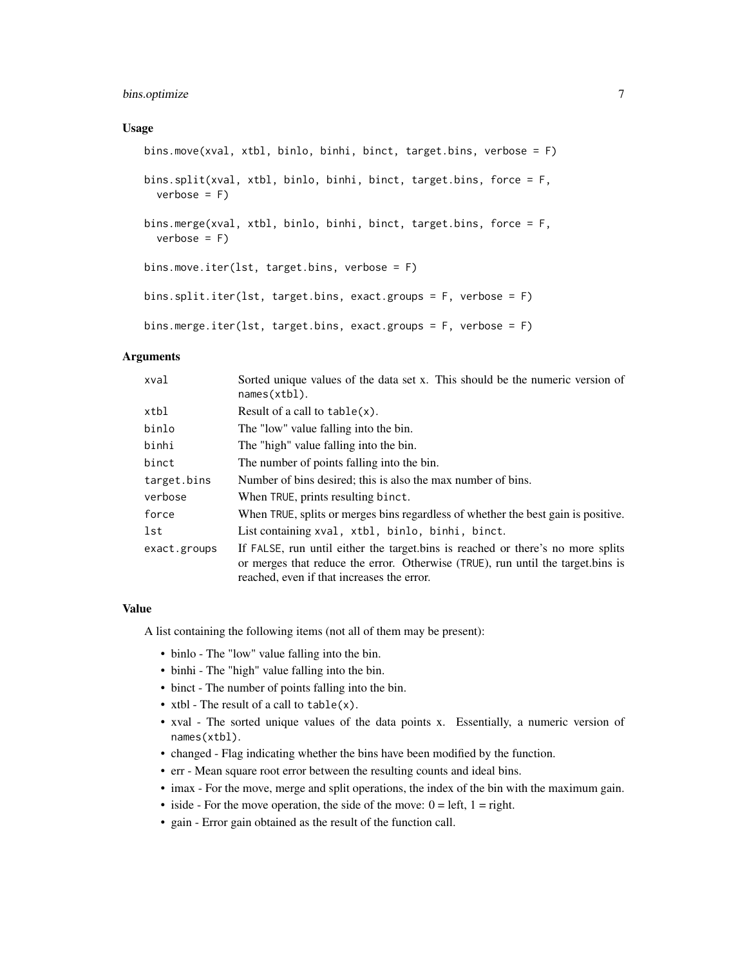#### bins.optimize 7

#### Usage

```
bins.move(xval, xtbl, binlo, binhi, binct, target.bins, verbose = F)
bins.split(xval, xtbl, binlo, binhi, binct, target.bins, force = F,
 verbose = F)bins.merge(xval, xtbl, binlo, binhi, binct, target.bins, force = F,
 verbose = Fbins.move.iter(lst, target.bins, verbose = F)
bins.split.iter(lst, target.bins, exact.groups = F, verbose = F)
bins.merge.iter(lst, target.bins, exact.groups = F, verbose = F)
```
#### Arguments

| xval         | Sorted unique values of the data set x. This should be the numeric version of<br>names(xtb1).                                                                                                                    |
|--------------|------------------------------------------------------------------------------------------------------------------------------------------------------------------------------------------------------------------|
| xtbl         | Result of a call to $table(x)$ .                                                                                                                                                                                 |
| binlo        | The "low" value falling into the bin.                                                                                                                                                                            |
| binhi        | The "high" value falling into the bin.                                                                                                                                                                           |
| binct        | The number of points falling into the bin.                                                                                                                                                                       |
| target.bins  | Number of bins desired; this is also the max number of bins.                                                                                                                                                     |
| verbose      | When TRUE, prints resulting binct.                                                                                                                                                                               |
| force        | When TRUE, splits or merges bins regardless of whether the best gain is positive.                                                                                                                                |
| lst          | List containing xval, xtbl, binlo, binhi, binct.                                                                                                                                                                 |
| exact.groups | If FALSE, run until either the target bins is reached or there's no more splits<br>or merges that reduce the error. Otherwise (TRUE), run until the target bins is<br>reached, even if that increases the error. |

#### Value

A list containing the following items (not all of them may be present):

- binlo The "low" value falling into the bin.
- binhi The "high" value falling into the bin.
- binct The number of points falling into the bin.
- xtbl The result of a call to table(x).
- xval The sorted unique values of the data points x. Essentially, a numeric version of names(xtbl).
- changed Flag indicating whether the bins have been modified by the function.
- err Mean square root error between the resulting counts and ideal bins.
- imax For the move, merge and split operations, the index of the bin with the maximum gain.
- iside For the move operation, the side of the move:  $0 = left$ ,  $1 = right$ .
- gain Error gain obtained as the result of the function call.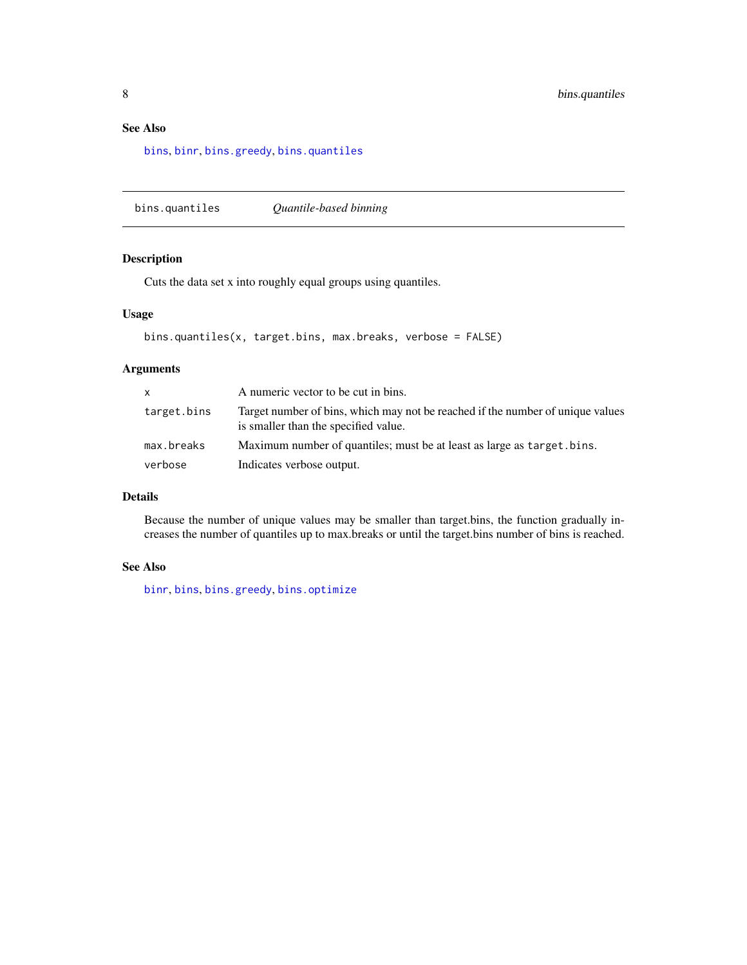### <span id="page-7-0"></span>See Also

[bins](#page-2-1), [binr](#page-1-1), [bins.greedy](#page-4-1), [bins.quantiles](#page-7-1)

<span id="page-7-1"></span>bins.quantiles *Quantile-based binning*

#### Description

Cuts the data set x into roughly equal groups using quantiles.

#### Usage

```
bins.quantiles(x, target.bins, max.breaks, verbose = FALSE)
```
#### Arguments

|             | A numeric vector to be cut in bins.                                                                                    |
|-------------|------------------------------------------------------------------------------------------------------------------------|
| target.bins | Target number of bins, which may not be reached if the number of unique values<br>is smaller than the specified value. |
| max.breaks  | Maximum number of quantiles; must be at least as large as target. bins.                                                |
| verbose     | Indicates verbose output.                                                                                              |

#### Details

Because the number of unique values may be smaller than target.bins, the function gradually increases the number of quantiles up to max.breaks or until the target.bins number of bins is reached.

#### See Also

[binr](#page-1-1), [bins](#page-2-1), [bins.greedy](#page-4-1), [bins.optimize](#page-5-1)